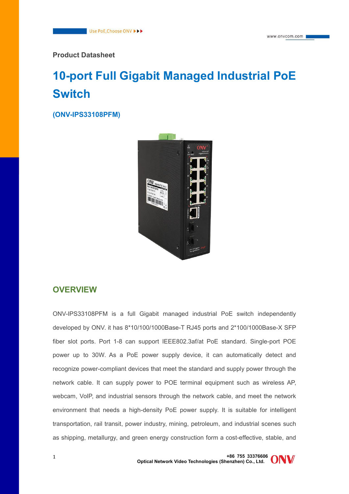**Product Datasheet**

# **10-port Full Gigabit Managed Industrial PoE Switch**

**(ONV-IPS33108PFM)**



### **OVERVIEW**

ONV-IPS33108PFM is a full Gigabit managed industrial PoE switch independently developed by ONV. it has 8\*10/100/1000Base-T RJ45 ports and 2\*100/1000Base-X SFP fiber slot ports. Port 1-8 can support IEEE802.3af/at PoE standard. Single-port POE power up to 30W. As a PoE power supply device, it can automatically detect and recognize power-compliant devices that meet the standard and supply power through the network cable. It can supply power to POE terminal equipment such as wireless AP, webcam, VoIP, and industrial sensors through the network cable, and meet the network environment that needs a high-density PoE power supply. It is suitable for intelligent transportation, rail transit, power industry, mining, petroleum, and industrial scenes such as shipping, metallurgy, and green energy construction form a cost-effective, stable, and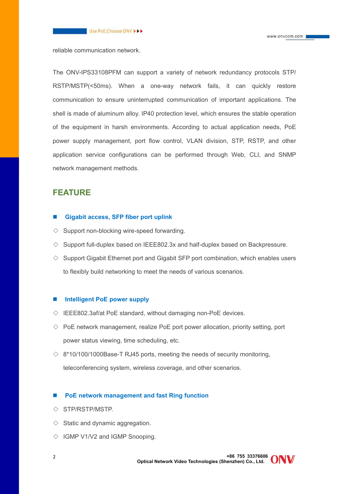reliable communication network.

The ONV-IPS33108PFM can support a variety of network redundancy protocols STP/ RSTP/MSTP(<50ms). When a one-way network fails, it can quickly restore communication to ensure uninterrupted communication of important applications. The shell is made of aluminum alloy. IP40 protection level, which ensures the stable operation of the equipment in harsh environments. According to actual application needs, PoE power supply management, port flow control, VLAN division, STP, RSTP, and other application service configurations can be performed through Web, CLI, and SNMP network management methods.

### **FEATURE**

#### **Gigabit access, SFP fiber port uplink**

- $\Diamond$  Support non-blocking wire-speed forwarding.
- $\Diamond$  Support full-duplex based on IEEE802.3x and half-duplex based on Backpressure.
- $\diamond$  Support Gigabit Ethernet port and Gigabit SFP port combination, which enables users to flexibly build networking to meet the needs of various scenarios.

### **Intelligent PoE power supply**

- $\Diamond$  IEEE802.3af/at PoE standard, without damaging non-PoE devices.
- $\Diamond$  PoE network management, realize PoE port power allocation, priority setting, port power status viewing, time scheduling, etc.
- $\Diamond$  8\*10/100/1000Base-T RJ45 ports, meeting the needs of security monitoring, teleconferencing system, wireless coverage, and other scenarios.

### **PoE network management and fast Ring function**

- ◇ STP/RSTP/MSTP.
- $\Diamond$  Static and dynamic aggregation.
- $\Diamond$  IGMP V1/V2 and IGMP Snooping.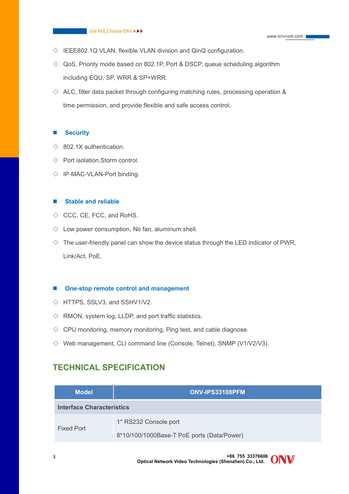- $\Diamond$  IEEE802.1Q VLAN, flexible VLAN division and QinQ configuration.
- $\Diamond$  QoS, Priority mode based on 802.1P, Port & DSCP, queue scheduling algorithm including EQU, SP, WRR & SP+WRR.
- $\Diamond$  ALC, filter data packet through configuring matching rules, processing operation & time permission, and provide flexible and safe access control.

#### **Security**

- $\Diamond$  802.1X authentication.
- $\Diamond$  Port isolation, Storm control.
- $\Diamond$  IP-MAC-VLAN-Port binding.

#### **Stable and reliable**

- $\Diamond$  CCC, CE, FCC, and RoHS.
- $\diamond$  Low power consumption, No fan, aluminum shell.
- $\Diamond$  The user-friendly panel can show the device status through the LED indicator of PWR, Link/Act, PoE.

#### **One-stop remote control and management**

- $\diamond$  HTTPS, SSLV3, and SSHV1/V2.
- $\Diamond$  RMON, system log, LLDP, and port traffic statistics.
- $\Diamond$  CPU monitoring, memory monitoring, Ping test, and cable diagnose.
- $\Diamond$  Web management, CLI command line (Console, Telnet), SNMP (V1/V2/V3).

### **TECHNICAL SPECIFICATION**

| <b>Model</b>                     | ONV-IPS33108PFM                            |
|----------------------------------|--------------------------------------------|
| <b>Interface Characteristics</b> |                                            |
| <b>Fixed Port</b>                | 1* RS232 Console port                      |
|                                  | 8*10/100/1000Base-T PoE ports (Data/Power) |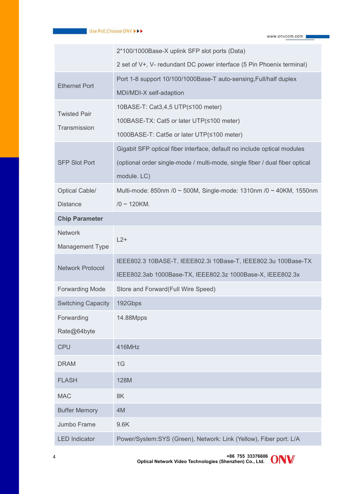|                           | 2*100/1000Base-X uplink SFP slot ports (Data)                               |  |
|---------------------------|-----------------------------------------------------------------------------|--|
|                           | 2 set of V+, V- redundant DC power interface (5 Pin Phoenix terminal)       |  |
|                           | Port 1-8 support 10/100/1000Base-T auto-sensing, Full/half duplex           |  |
| <b>Ethernet Port</b>      | MDI/MDI-X self-adaption                                                     |  |
| <b>Twisted Pair</b>       | 10BASE-T: Cat3,4,5 UTP(≤100 meter)                                          |  |
| Transmission              | 100BASE-TX: Cat5 or later UTP(≤100 meter)                                   |  |
|                           | 1000BASE-T: Cat5e or later UTP(≤100 meter)                                  |  |
|                           | Gigabit SFP optical fiber interface, default no include optical modules     |  |
| <b>SFP Slot Port</b>      | (optional order single-mode / multi-mode, single fiber / dual fiber optical |  |
|                           | module. LC)                                                                 |  |
| Optical Cable/            | Multi-mode: 850nm /0 ~ 500M, Single-mode: 1310nm /0 ~ 40KM, 1550nm          |  |
| <b>Distance</b>           | $/0 \sim 120$ KM.                                                           |  |
| <b>Chip Parameter</b>     |                                                                             |  |
| <b>Network</b>            | $L2+$                                                                       |  |
| Management Type           |                                                                             |  |
| <b>Network Protocol</b>   | IEEE802.3 10BASE-T, IEEE802.3i 10Base-T, IEEE802.3u 100Base-TX              |  |
|                           | IEEE802.3ab 1000Base-TX, IEEE802.3z 1000Base-X, IEEE802.3x                  |  |
| <b>Forwarding Mode</b>    | Store and Forward(Full Wire Speed)                                          |  |
| <b>Switching Capacity</b> | 192Gbps                                                                     |  |
| Forwarding                | 14.88Mpps                                                                   |  |
| Rate@64byte               |                                                                             |  |
| <b>CPU</b>                | 416MHz                                                                      |  |
| <b>DRAM</b>               | 1G                                                                          |  |
| <b>FLASH</b>              | 128M                                                                        |  |
| <b>MAC</b>                | 8K                                                                          |  |
| <b>Buffer Memory</b>      | 4M                                                                          |  |
| Jumbo Frame               | 9.6K                                                                        |  |
| <b>LED Indicator</b>      | Power/System:SYS (Green), Network: Link (Yellow), Fiber port: L/A           |  |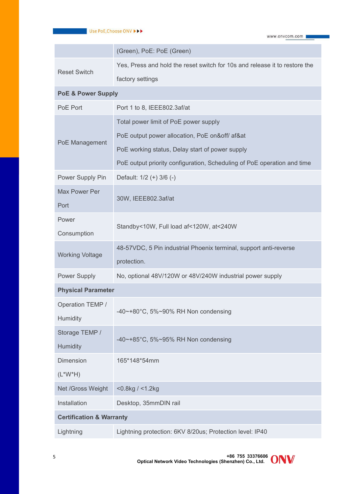|                                     | (Green), PoE: PoE (Green)                                                        |
|-------------------------------------|----------------------------------------------------------------------------------|
|                                     | Yes, Press and hold the reset switch for 10s and release it to restore the       |
| <b>Reset Switch</b>                 | factory settings                                                                 |
| <b>PoE &amp; Power Supply</b>       |                                                                                  |
| PoE Port                            | Port 1 to 8, IEEE802.3af/at                                                      |
|                                     | Total power limit of PoE power supply                                            |
|                                     | PoE output power allocation, PoE on&off/ af&at                                   |
| PoE Management                      | PoE working status, Delay start of power supply                                  |
|                                     | PoE output priority configuration, Scheduling of PoE operation and time          |
| Power Supply Pin                    | Default: 1/2 (+) 3/6 (-)                                                         |
| Max Power Per<br>Port               | 30W, IEEE802.3af/at                                                              |
| Power                               |                                                                                  |
| Consumption                         | Standby<10W, Full load af<120W, at<240W                                          |
| <b>Working Voltage</b>              | 48-57VDC, 5 Pin industrial Phoenix terminal, support anti-reverse<br>protection. |
| Power Supply                        | No, optional 48V/120W or 48V/240W industrial power supply                        |
| <b>Physical Parameter</b>           |                                                                                  |
| Operation TEMP /                    |                                                                                  |
| Humidity                            | -40~+80°C, 5%~90% RH Non condensing                                              |
| Storage TEMP /                      | -40~+85°C, 5%~95% RH Non condensing                                              |
| Humidity                            |                                                                                  |
| Dimension                           | 165*148*54mm                                                                     |
| $(L^*W^*H)$                         |                                                                                  |
| Net /Gross Weight                   | $<$ 0.8kg / $<$ 1.2kg                                                            |
| Installation                        | Desktop, 35mmDIN rail                                                            |
| <b>Certification &amp; Warranty</b> |                                                                                  |
| Lightning                           | Lightning protection: 6KV 8/20us; Protection level: IP40                         |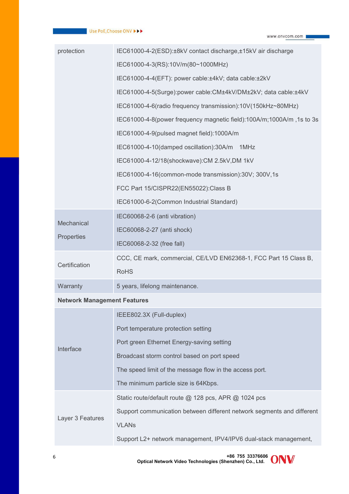| protection                         | IEC61000-4-2(ESD):±8kV contact discharge,±15kV air discharge           |
|------------------------------------|------------------------------------------------------------------------|
|                                    | IEC61000-4-3(RS):10V/m(80~1000MHz)                                     |
|                                    | IEC61000-4-4(EFT): power cable:±4kV; data cable:±2kV                   |
|                                    | IEC61000-4-5(Surge):power cable:CM±4kV/DM±2kV; data cable:±4kV         |
|                                    | IEC61000-4-6(radio frequency transmission):10V(150kHz~80MHz)           |
|                                    | IEC61000-4-8(power frequency magnetic field):100A/m;1000A/m,1s to 3s   |
|                                    | IEC61000-4-9(pulsed magnet field):1000A/m                              |
|                                    | IEC61000-4-10(damped oscillation):30A/m 1MHz                           |
|                                    | IEC61000-4-12/18(shockwave): CM 2.5kV, DM 1kV                          |
|                                    | IEC61000-4-16(common-mode transmission):30V; 300V,1s                   |
|                                    | FCC Part 15/CISPR22(EN55022):Class B                                   |
|                                    | IEC61000-6-2(Common Industrial Standard)                               |
| Mechanical                         | IEC60068-2-6 (anti vibration)                                          |
|                                    | IEC60068-2-27 (anti shock)                                             |
| Properties                         | IEC60068-2-32 (free fall)                                              |
| Certification                      | CCC, CE mark, commercial, CE/LVD EN62368-1, FCC Part 15 Class B,       |
|                                    | <b>RoHS</b>                                                            |
| Warranty                           | 5 years, lifelong maintenance.                                         |
| <b>Network Management Features</b> |                                                                        |
|                                    | IEEE802.3X (Full-duplex)                                               |
|                                    | Port temperature protection setting                                    |
| Interface                          | Port green Ethernet Energy-saving setting                              |
|                                    | Broadcast storm control based on port speed                            |
|                                    | The speed limit of the message flow in the access port.                |
|                                    | The minimum particle size is 64Kbps.                                   |
|                                    | Static route/default route @ 128 pcs, APR @ 1024 pcs                   |
|                                    | Support communication between different network segments and different |
| Layer 3 Features                   | <b>VLANs</b>                                                           |
|                                    | Support L2+ network management, IPV4/IPV6 dual-stack management,       |
|                                    |                                                                        |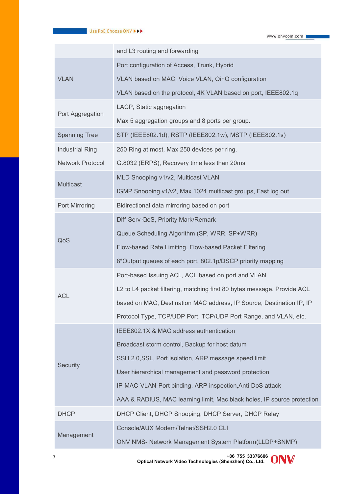|                         | and L3 routing and forwarding                                           |
|-------------------------|-------------------------------------------------------------------------|
|                         | Port configuration of Access, Trunk, Hybrid                             |
| <b>VLAN</b>             | VLAN based on MAC, Voice VLAN, QinQ configuration                       |
|                         | VLAN based on the protocol, 4K VLAN based on port, IEEE802.1q           |
|                         | LACP, Static aggregation                                                |
| Port Aggregation        | Max 5 aggregation groups and 8 ports per group.                         |
| <b>Spanning Tree</b>    | STP (IEEE802.1d), RSTP (IEEE802.1w), MSTP (IEEE802.1s)                  |
| <b>Industrial Ring</b>  | 250 Ring at most, Max 250 devices per ring.                             |
| <b>Network Protocol</b> | G.8032 (ERPS), Recovery time less than 20ms                             |
|                         | MLD Snooping v1/v2, Multicast VLAN                                      |
| <b>Multicast</b>        | IGMP Snooping v1/v2, Max 1024 multicast groups, Fast log out            |
| Port Mirroring          | Bidirectional data mirroring based on port                              |
|                         | Diff-Serv QoS, Priority Mark/Remark                                     |
|                         | Queue Scheduling Algorithm (SP, WRR, SP+WRR)                            |
| QoS                     | Flow-based Rate Limiting, Flow-based Packet Filtering                   |
|                         | 8*Output queues of each port, 802.1p/DSCP priority mapping              |
|                         | Port-based Issuing ACL, ACL based on port and VLAN                      |
|                         | L2 to L4 packet filtering, matching first 80 bytes message. Provide ACL |
| <b>ACL</b>              | based on MAC, Destination MAC address, IP Source, Destination IP, IP    |
|                         | Protocol Type, TCP/UDP Port, TCP/UDP Port Range, and VLAN, etc.         |
|                         | IEEE802.1X & MAC address authentication                                 |
|                         | Broadcast storm control, Backup for host datum                          |
| <b>Security</b>         | SSH 2.0, SSL, Port isolation, ARP message speed limit                   |
|                         | User hierarchical management and password protection                    |
|                         | IP-MAC-VLAN-Port binding, ARP inspection, Anti-DoS attack               |
|                         | AAA & RADIUS, MAC learning limit, Mac black holes, IP source protection |
| <b>DHCP</b>             | DHCP Client, DHCP Snooping, DHCP Server, DHCP Relay                     |
| Management              | Console/AUX Modem/Telnet/SSH2.0 CLI                                     |
|                         | ONV NMS- Network Management System Platform(LLDP+SNMP)                  |

**+86 755 33376606 Optical Network Video Technologies (Shenzhen) Co., Ltd.** <sup>7</sup>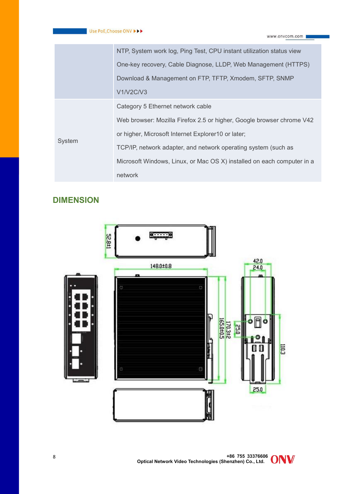| One-key recovery, Cable Diagnose, LLDP, Web Management (HTTPS)<br>Download & Management on FTP, TFTP, Xmodem, SFTP, SNMP<br><b>V1/V2C/V3</b><br>Category 5 Ethernet network cable<br>Web browser: Mozilla Firefox 2.5 or higher, Google browser chrome V42<br>or higher, Microsoft Internet Explorer10 or later;<br>System<br>TCP/IP, network adapter, and network operating system (such as<br>Microsoft Windows, Linux, or Mac OS X) installed on each computer in a<br>network | NTP, System work log, Ping Test, CPU instant utilization status view |  |
|-----------------------------------------------------------------------------------------------------------------------------------------------------------------------------------------------------------------------------------------------------------------------------------------------------------------------------------------------------------------------------------------------------------------------------------------------------------------------------------|----------------------------------------------------------------------|--|
|                                                                                                                                                                                                                                                                                                                                                                                                                                                                                   |                                                                      |  |
|                                                                                                                                                                                                                                                                                                                                                                                                                                                                                   |                                                                      |  |
|                                                                                                                                                                                                                                                                                                                                                                                                                                                                                   |                                                                      |  |
|                                                                                                                                                                                                                                                                                                                                                                                                                                                                                   |                                                                      |  |
|                                                                                                                                                                                                                                                                                                                                                                                                                                                                                   |                                                                      |  |
|                                                                                                                                                                                                                                                                                                                                                                                                                                                                                   |                                                                      |  |
|                                                                                                                                                                                                                                                                                                                                                                                                                                                                                   |                                                                      |  |
|                                                                                                                                                                                                                                                                                                                                                                                                                                                                                   |                                                                      |  |
|                                                                                                                                                                                                                                                                                                                                                                                                                                                                                   |                                                                      |  |

## **DIMENSION**

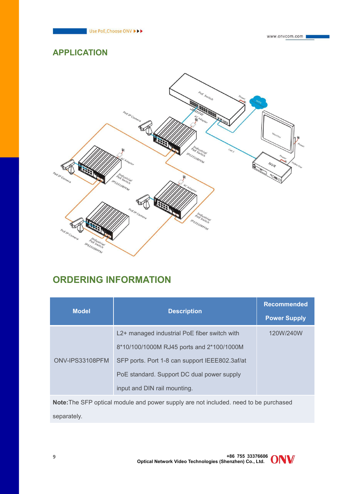

www.onvcom.com

### **APPLICATION**



## **ORDERING INFORMATION**

|                 |                                                | <b>Recommended</b>  |
|-----------------|------------------------------------------------|---------------------|
| <b>Model</b>    | <b>Description</b>                             | <b>Power Supply</b> |
|                 | L2+ managed industrial PoE fiber switch with   | 120W/240W           |
| ONV-IPS33108PFM | 8*10/100/1000M RJ45 ports and 2*100/1000M      |                     |
|                 | SFP ports. Port 1-8 can support IEEE802.3af/at |                     |
|                 | PoE standard. Support DC dual power supply     |                     |
|                 | input and DIN rail mounting.                   |                     |

**Note:**The SFP optical module and power supply are not included. need to be purchased separately.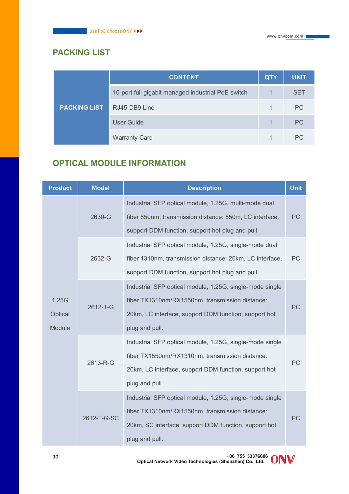## **PACKING LIST**

|                     | <b>CONTENT</b>                                     | <b>QTY</b> | <b>UNIT</b> |
|---------------------|----------------------------------------------------|------------|-------------|
| <b>PACKING LIST</b> | 10-port full gigabit managed industrial PoE switch |            | <b>SET</b>  |
|                     | RJ45-DB9 Line                                      |            | PC          |
|                     | <b>User Guide</b>                                  |            | PC          |
|                     | <b>Warranty Card</b>                               |            | PC          |

## **OPTICAL MODULE INFORMATION**

| <b>Product</b>             | <b>Model</b> | <b>Description</b>                                                                                                                                                                     |           |
|----------------------------|--------------|----------------------------------------------------------------------------------------------------------------------------------------------------------------------------------------|-----------|
|                            | 2630-G       | Industrial SFP optical module, 1.25G, multi-mode dual<br>fiber 850nm, transmission distance: 550m, LC interface,<br>support DDM function, support hot plug and pull.                   | <b>PC</b> |
| 2632-G                     |              | Industrial SFP optical module, 1.25G, single-mode dual<br>fiber 1310nm, transmission distance: 20km, LC interface,<br>support DDM function, support hot plug and pull.                 | PC        |
| 1.25G<br>Optical<br>Module | 2612-T-G     | Industrial SFP optical module, 1.25G, single-mode single<br>fiber TX1310nm/RX1550nm, transmission distance:<br>20km, LC interface, support DDM function, support hot<br>plug and pull. | PC        |
|                            | 2613-R-G     | Industrial SFP optical module, 1.25G, single-mode single<br>fiber TX1550nm/RX1310nm, transmission distance:<br>20km, LC interface, support DDM function, support hot<br>plug and pull. | PC        |
|                            | 2612-T-G-SC  | Industrial SFP optical module, 1.25G, single-mode single<br>fiber TX1310nm/RX1550nm, transmission distance:<br>20km, SC interface, support DDM function, support hot<br>plug and pull. | PC        |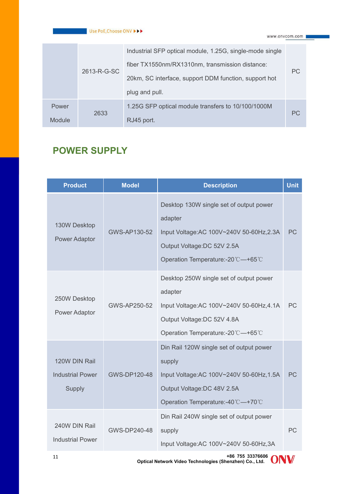|        |             | Industrial SFP optical module, 1.25G, single-mode single |           |
|--------|-------------|----------------------------------------------------------|-----------|
|        |             | fiber TX1550nm/RX1310nm, transmission distance:          | PC.       |
|        | 2613-R-G-SC | 20km, SC interface, support DDM function, support hot    |           |
|        |             | plug and pull.                                           |           |
| Power  |             | 1.25G SFP optical module transfers to 10/100/1000M       |           |
| Module | 2633        | RJ45 port.                                               | <b>PC</b> |

## **POWER SUPPLY**

| <b>Product</b>                                     | <b>Model</b>        | <b>Description</b>                                                                                                                                                 | <b>Unit</b> |
|----------------------------------------------------|---------------------|--------------------------------------------------------------------------------------------------------------------------------------------------------------------|-------------|
| 130W Desktop<br>Power Adaptor                      | GWS-AP130-52        | Desktop 130W single set of output power<br>adapter<br>Input Voltage: AC 100V~240V 50-60Hz, 2.3A<br>Output Voltage:DC 52V 2.5A<br>Operation Temperature:-20℃-+65℃   | PC          |
| 250W Desktop<br>Power Adaptor                      | <b>GWS-AP250-52</b> | Desktop 250W single set of output power<br>adapter<br>Input Voltage: AC 100V~240V 50-60Hz, 4.1A<br>Output Voltage:DC 52V 4.8A<br>Operation Temperature:-20°C-+65°C | PC          |
| 120W DIN Rail<br><b>Industrial Power</b><br>Supply | GWS-DP120-48        | Din Rail 120W single set of output power<br>supply<br>Input Voltage: AC 100V~240V 50-60Hz, 1.5A<br>Output Voltage:DC 48V 2.5A<br>Operation Temperature:-40°C-+70°C | <b>PC</b>   |
| 240W DIN Rail<br><b>Industrial Power</b>           | GWS-DP240-48        | Din Rail 240W single set of output power<br>supply<br>Input Voltage: AC 100V~240V 50-60Hz, 3A                                                                      | PC          |

**+86 755 33376606 Optical Network Video Technologies (Shenzhen) Co., Ltd.** <sup>11</sup>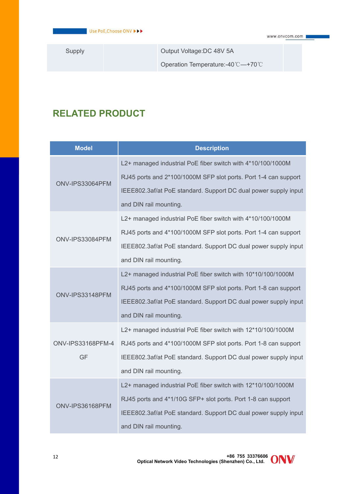Supply **Calculation Current Couput Voltage:DC 48V 5A** 

Operation Temperature:-40℃—+70℃

## **RELATED PRODUCT**

| <b>Model</b>             | <b>Description</b>                                              |  |  |
|--------------------------|-----------------------------------------------------------------|--|--|
|                          | L2+ managed industrial PoE fiber switch with 4*10/100/1000M     |  |  |
|                          | RJ45 ports and 2*100/1000M SFP slot ports. Port 1-4 can support |  |  |
| ONV-IPS33064PFM          | IEEE802.3af/at PoE standard. Support DC dual power supply input |  |  |
|                          | and DIN rail mounting.                                          |  |  |
|                          | L2+ managed industrial PoE fiber switch with 4*10/100/1000M     |  |  |
| ONV-IPS33084PFM          | RJ45 ports and 4*100/1000M SFP slot ports. Port 1-4 can support |  |  |
|                          | IEEE802.3af/at PoE standard. Support DC dual power supply input |  |  |
|                          | and DIN rail mounting.                                          |  |  |
|                          | L2+ managed industrial PoE fiber switch with 10*10/100/1000M    |  |  |
| ONV-IPS33148PFM          | RJ45 ports and 4*100/1000M SFP slot ports. Port 1-8 can support |  |  |
|                          | IEEE802.3af/at PoE standard. Support DC dual power supply input |  |  |
|                          | and DIN rail mounting.                                          |  |  |
|                          | L2+ managed industrial PoE fiber switch with 12*10/100/1000M    |  |  |
| <b>ONV-IPS33168PFM-4</b> | RJ45 ports and 4*100/1000M SFP slot ports. Port 1-8 can support |  |  |
| GF                       | IEEE802.3af/at PoE standard. Support DC dual power supply input |  |  |
|                          | and DIN rail mounting.                                          |  |  |
|                          | L2+ managed industrial PoE fiber switch with 12*10/100/1000M    |  |  |
| ONV-IPS36168PFM          | RJ45 ports and 4*1/10G SFP+ slot ports. Port 1-8 can support    |  |  |
|                          | IEEE802.3af/at PoE standard. Support DC dual power supply input |  |  |
|                          | and DIN rail mounting.                                          |  |  |